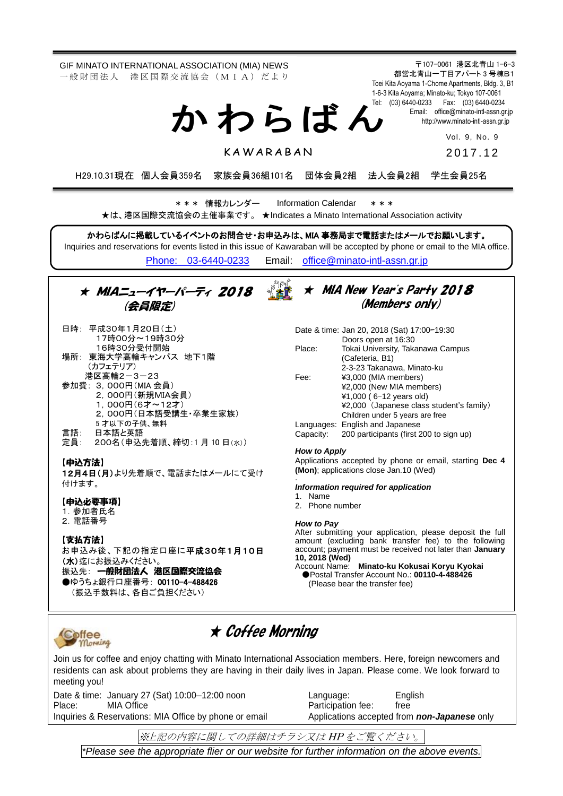〒107-0061 港区北青山 1-6-3 GIF MINATO INTERNATIONAL ASSOCIATION (MIA) NEWS 都営北青山一丁目アパート 3 号棟B1 一 般 財 団 法 人 港 区 国 際 交 流 協 会 (M I A) だ よ り Toei Kita Aoyama 1-Chome Apartments, Bldg. 3, B1 1-6-3 Kita Aoyama; Minato-ku; Tokyo 107-0061 Tel: (03) 6440-0233 Fax: (03) 6440-0234 か わ ら ば ん Email: [office@minato-intl-assn.gr.jp](mailto:office@minato-intl-assn.gr.jp) [http://www.minato-intl-assn.gr.jp](http://www.minato-intl-assn.gr.jp/) Vol. 9, No. 9 **KAWARABAN** 2017.12 H29.10.31現在 個人会員359名 家族会員36組101名 団体会員2組 法人会員2組 学生会員25名 \* \* \* 情報カレンダー Information Calendar \* \* \* ★は、港区国際交流協会の主催事業です。 ★Indicates a Minato International Association activity かわらばんに掲載しているイベントのお問合せ・お申込みは、MIA 事務局まで電話またはメールでお願いします。 Inquiries and reservations for events listed in this issue of Kawaraban will be accepted by phone or email to the MIA office. [Phone: 03-6440-0233](mailto:Phone:%20%2003-6440-0233) Email: [office@minato-intl-assn.gr.jp](mailto:office@minato-intl-assn.gr.jp) ★ MIA New Year's Party 2018 ★ MIAニューイヤーパーティ 2018 (Members only) (会員限定) 日時: 平成30年1月20日(土) Date & time: Jan 20, 2018 (Sat) 17:00–19:30 17時00分~19時30分 Doors open at 16:30 16時30分受付開始 Place: Tokai University, Takanawa Campus 場所: 東海大学高輪キャンパス 地下1階 (Cafeteria, B1) (カフェテリア) 2-3-23 Takanawa, Minato-ku 港区高輪2-3-23 Fee: ¥3,000 (MIA members) 参加費: 3,000円(MIA 会員) ¥2,000 (New MIA members) 2,000円(新規MIA会員) ¥1,000 ( 6–12 years old) 1,000円(6才~12才) ¥2,000 (Japanese class student's family) 2,000円(日本語受講生・卒業生家族) Children under 5 years are free 5 才以下の子供、無料 Languages: English and Japanese<br>Capacity: 200 participants (first 2 言語: 日本語と英語 200 participants (first 200 to sign up) 定員: 200名(申込先着順、締切:1 月 10 日(水)) *How to Apply* Applications accepted by phone or email, starting **Dec 4** 【申込方法】 **(Mon)**; applications close Jan.10 (Wed) 12月4日(月)より先着順で、電話またはメールにて受け . 付けます。 *Information required for application* 1. Name 【申込必要事項】 2. Phone number 1. 参加者氏名 2.電話番号 *How to Pay* After submitting your application, please deposit the full 【支払方法】 amount (excluding bank transfer fee) to the following お申込み後、下記の指定口座に平成30年1月10日 account; payment must be received not later than **January 10, 2018 (Wed)** (水)迄にお振込みください。 Account Name: **Minato-ku Kokusai Koryu Kyokai** 振込先: 一般財団法人 港区国際交流協会 ●Postal Transfer Account No.: **00110-4-488426** ●ゆうちょ銀行口座番号: 00110-4-488426 (Please bear the transfer fee)(振込手数料は、各自ご負担ください) ★ Coffee Morning Coffee Morning Join us for coffee and enjoy chatting with Minato International Association members. Here, foreign newcomers and residents can ask about problems they are having in their daily lives in Japan. Please come. We look forward to meeting you! Date & time: January 27 (Sat) 10:00-12:00 noon Language: English<br>Place: MIA Office MIA Charles Raticipation fee: free Place: MIA Office **Participation fee:** free Inquiries & Reservations: MIA Office by phone or email Applications accepted from *non-Japanese* only ※上記の内容に関しての詳細はチラシ又は HP をご覧ください。 \* Please see our flier or website for more details.

*\*Please see the appropriate flier or our website for further information on the above events.*